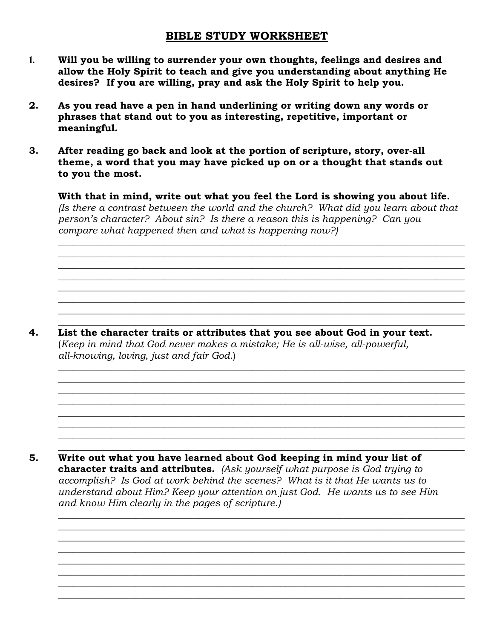## **BIBLE STUDY WORKSHEET**

- **1. Will you be willing to surrender your own thoughts, feelings and desires and allow the Holy Spirit to teach and give you understanding about anything He desires? If you are willing, pray and ask the Holy Spirit to help you.**
- **2. As you read have a pen in hand underlining or writing down any words or phrases that stand out to you as interesting, repetitive, important or meaningful.**
- **3. After reading go back and look at the portion of scripture, story, over-all theme, a word that you may have picked up on or a thought that stands out to you the most.**

 **With that in mind, write out what you feel the Lord is showing you about life.** *(Is there a contrast between the world and the church? What did you learn about that person's character? About sin? Is there a reason this is happening? Can you compare what happened then and what is happening now?)*

 $\mathcal{L} = \{ \mathcal{L} = \{ \mathcal{L} = \mathcal{L} \} \cup \{ \mathcal{L} = \{ \mathcal{L} = \mathcal{L} \} \cup \{ \mathcal{L} = \{ \mathcal{L} = \mathcal{L} \} \cup \{ \mathcal{L} = \{ \mathcal{L} = \mathcal{L} \} \cup \{ \mathcal{L} = \{ \mathcal{L} = \mathcal{L} \} \cup \{ \mathcal{L} = \{ \mathcal{L} = \mathcal{L} \} \cup \{ \mathcal{L} = \{ \mathcal{L} = \mathcal{L} \} \cup \{ \mathcal{L} = \{ \mathcal{L}$  $\mathcal{L}_\text{max} = \frac{1}{2} \sum_{i=1}^{n} \frac{1}{2} \sum_{i=1}^{n} \frac{1}{2} \sum_{i=1}^{n} \frac{1}{2} \sum_{i=1}^{n} \frac{1}{2} \sum_{i=1}^{n} \frac{1}{2} \sum_{i=1}^{n} \frac{1}{2} \sum_{i=1}^{n} \frac{1}{2} \sum_{i=1}^{n} \frac{1}{2} \sum_{i=1}^{n} \frac{1}{2} \sum_{i=1}^{n} \frac{1}{2} \sum_{i=1}^{n} \frac{1}{2} \sum_{i=1}^{n} \frac{1$  $\mathcal{L} = \{ \mathcal{L} = \{ \mathcal{L} = \mathcal{L} \} \cup \{ \mathcal{L} = \{ \mathcal{L} = \mathcal{L} \} \cup \{ \mathcal{L} = \{ \mathcal{L} = \mathcal{L} \} \cup \{ \mathcal{L} = \{ \mathcal{L} = \mathcal{L} \} \cup \{ \mathcal{L} = \{ \mathcal{L} = \mathcal{L} \} \cup \{ \mathcal{L} = \{ \mathcal{L} = \mathcal{L} \} \cup \{ \mathcal{L} = \{ \mathcal{L} = \mathcal{L} \} \cup \{ \mathcal{L} = \{ \mathcal{L}$  $\mathcal{L}_\text{max} = \frac{1}{2} \sum_{i=1}^{n} \frac{1}{2} \sum_{i=1}^{n} \frac{1}{2} \sum_{i=1}^{n} \frac{1}{2} \sum_{i=1}^{n} \frac{1}{2} \sum_{i=1}^{n} \frac{1}{2} \sum_{i=1}^{n} \frac{1}{2} \sum_{i=1}^{n} \frac{1}{2} \sum_{i=1}^{n} \frac{1}{2} \sum_{i=1}^{n} \frac{1}{2} \sum_{i=1}^{n} \frac{1}{2} \sum_{i=1}^{n} \frac{1}{2} \sum_{i=1}^{n} \frac{1$  $\mathcal{L} = \{ \mathcal{L} = \{ \mathcal{L} = \mathcal{L} \} \cup \{ \mathcal{L} = \{ \mathcal{L} = \mathcal{L} \} \cup \{ \mathcal{L} = \{ \mathcal{L} = \mathcal{L} \} \cup \{ \mathcal{L} = \{ \mathcal{L} = \mathcal{L} \} \cup \{ \mathcal{L} = \{ \mathcal{L} = \mathcal{L} \} \cup \{ \mathcal{L} = \{ \mathcal{L} = \mathcal{L} \} \cup \{ \mathcal{L} = \{ \mathcal{L} = \mathcal{L} \} \cup \{ \mathcal{L} = \{ \mathcal{L}$  $\mathcal{L} = \{ \mathcal{L} = \{ \mathcal{L} = \mathcal{L} \} \cup \{ \mathcal{L} = \{ \mathcal{L} = \mathcal{L} \} \cup \{ \mathcal{L} = \{ \mathcal{L} = \mathcal{L} \} \cup \{ \mathcal{L} = \{ \mathcal{L} = \mathcal{L} \} \cup \{ \mathcal{L} = \{ \mathcal{L} = \mathcal{L} \} \cup \{ \mathcal{L} = \{ \mathcal{L} = \mathcal{L} \} \cup \{ \mathcal{L} = \{ \mathcal{L} = \mathcal{L} \} \cup \{ \mathcal{L} = \{ \mathcal{L}$  $\mathcal{L} = \{ \mathcal{L} = \{ \mathcal{L} = \mathcal{L} \} \cup \{ \mathcal{L} = \{ \mathcal{L} = \mathcal{L} \} \cup \{ \mathcal{L} = \{ \mathcal{L} = \mathcal{L} \} \cup \{ \mathcal{L} = \{ \mathcal{L} = \mathcal{L} \} \cup \{ \mathcal{L} = \{ \mathcal{L} = \mathcal{L} \} \cup \{ \mathcal{L} = \{ \mathcal{L} = \mathcal{L} \} \cup \{ \mathcal{L} = \{ \mathcal{L} = \mathcal{L} \} \cup \{ \mathcal{L} = \{ \mathcal{L}$  $\overline{\phantom{a}}$  ,  $\overline{\phantom{a}}$  ,  $\overline{\phantom{a}}$  ,  $\overline{\phantom{a}}$  ,  $\overline{\phantom{a}}$  ,  $\overline{\phantom{a}}$  ,  $\overline{\phantom{a}}$  ,  $\overline{\phantom{a}}$  ,  $\overline{\phantom{a}}$  ,  $\overline{\phantom{a}}$  ,  $\overline{\phantom{a}}$  ,  $\overline{\phantom{a}}$  ,  $\overline{\phantom{a}}$  ,  $\overline{\phantom{a}}$  ,  $\overline{\phantom{a}}$  ,  $\overline{\phantom{a}}$ 

**4. List the character traits or attributes that you see about God in your text.** (*Keep in mind that God never makes a mistake; He is all-wise, all-powerful, all-knowing, loving, just and fair God.*)

 $\mathcal{L} = \{ \mathcal{L} = \{ \mathcal{L} = \mathcal{L} \} \cup \{ \mathcal{L} = \{ \mathcal{L} = \mathcal{L} \} \cup \{ \mathcal{L} = \{ \mathcal{L} = \mathcal{L} \} \cup \{ \mathcal{L} = \{ \mathcal{L} = \mathcal{L} \} \cup \{ \mathcal{L} = \{ \mathcal{L} = \mathcal{L} \} \cup \{ \mathcal{L} = \{ \mathcal{L} = \mathcal{L} \} \cup \{ \mathcal{L} = \{ \mathcal{L} = \mathcal{L} \} \cup \{ \mathcal{L} = \{ \mathcal{L}$  $\mathcal{L} = \{ \mathcal{L} = \{ \mathcal{L} = \mathcal{L} \} \cup \{ \mathcal{L} = \{ \mathcal{L} = \mathcal{L} \} \cup \{ \mathcal{L} = \{ \mathcal{L} = \mathcal{L} \} \cup \{ \mathcal{L} = \{ \mathcal{L} = \mathcal{L} \} \cup \{ \mathcal{L} = \{ \mathcal{L} = \mathcal{L} \} \cup \{ \mathcal{L} = \{ \mathcal{L} = \mathcal{L} \} \cup \{ \mathcal{L} = \{ \mathcal{L} = \mathcal{L} \} \cup \{ \mathcal{L} = \{ \mathcal{L}$  $\mathcal{L} = \{ \mathcal{L} = \{ \mathcal{L} = \mathcal{L} \} \cup \{ \mathcal{L} = \{ \mathcal{L} = \mathcal{L} \} \cup \{ \mathcal{L} = \{ \mathcal{L} = \mathcal{L} \} \cup \{ \mathcal{L} = \{ \mathcal{L} = \mathcal{L} \} \cup \{ \mathcal{L} = \{ \mathcal{L} = \mathcal{L} \} \cup \{ \mathcal{L} = \{ \mathcal{L} = \mathcal{L} \} \cup \{ \mathcal{L} = \{ \mathcal{L} = \mathcal{L} \} \cup \{ \mathcal{L} = \{ \mathcal{L}$  $\mathcal{L} = \{ \mathcal{L} = \{ \mathcal{L} = \mathcal{L} \} \cup \{ \mathcal{L} = \{ \mathcal{L} = \mathcal{L} \} \cup \{ \mathcal{L} = \{ \mathcal{L} = \mathcal{L} \} \cup \{ \mathcal{L} = \{ \mathcal{L} = \mathcal{L} \} \cup \{ \mathcal{L} = \{ \mathcal{L} = \mathcal{L} \} \cup \{ \mathcal{L} = \{ \mathcal{L} = \mathcal{L} \} \cup \{ \mathcal{L} = \{ \mathcal{L} = \mathcal{L} \} \cup \{ \mathcal{L} = \{ \mathcal{L}$  $\mathcal{L} = \{ \mathcal{L} = \{ \mathcal{L} = \mathcal{L} \} \cup \{ \mathcal{L} = \{ \mathcal{L} = \mathcal{L} \} \cup \{ \mathcal{L} = \{ \mathcal{L} = \mathcal{L} \} \cup \{ \mathcal{L} = \{ \mathcal{L} = \mathcal{L} \} \cup \{ \mathcal{L} = \{ \mathcal{L} = \mathcal{L} \} \cup \{ \mathcal{L} = \{ \mathcal{L} = \mathcal{L} \} \cup \{ \mathcal{L} = \{ \mathcal{L} = \mathcal{L} \} \cup \{ \mathcal{L} = \{ \mathcal{L}$  $\mathcal{L} = \{ \mathcal{L} = \{ \mathcal{L} = \mathcal{L} \} \cup \{ \mathcal{L} = \{ \mathcal{L} = \mathcal{L} \} \cup \{ \mathcal{L} = \{ \mathcal{L} = \mathcal{L} \} \cup \{ \mathcal{L} = \{ \mathcal{L} = \mathcal{L} \} \cup \{ \mathcal{L} = \{ \mathcal{L} = \mathcal{L} \} \cup \{ \mathcal{L} = \{ \mathcal{L} = \mathcal{L} \} \cup \{ \mathcal{L} = \{ \mathcal{L} = \mathcal{L} \} \cup \{ \mathcal{L} = \{ \mathcal{L}$  $\mathcal{L}_\text{max} = \frac{1}{2} \sum_{i=1}^{n} \frac{1}{2} \sum_{i=1}^{n} \frac{1}{2} \sum_{i=1}^{n} \frac{1}{2} \sum_{i=1}^{n} \frac{1}{2} \sum_{i=1}^{n} \frac{1}{2} \sum_{i=1}^{n} \frac{1}{2} \sum_{i=1}^{n} \frac{1}{2} \sum_{i=1}^{n} \frac{1}{2} \sum_{i=1}^{n} \frac{1}{2} \sum_{i=1}^{n} \frac{1}{2} \sum_{i=1}^{n} \frac{1}{2} \sum_{i=1}^{n} \frac{1$  $\overline{\phantom{a}}$  ,  $\overline{\phantom{a}}$  ,  $\overline{\phantom{a}}$  ,  $\overline{\phantom{a}}$  ,  $\overline{\phantom{a}}$  ,  $\overline{\phantom{a}}$  ,  $\overline{\phantom{a}}$  ,  $\overline{\phantom{a}}$  ,  $\overline{\phantom{a}}$  ,  $\overline{\phantom{a}}$  ,  $\overline{\phantom{a}}$  ,  $\overline{\phantom{a}}$  ,  $\overline{\phantom{a}}$  ,  $\overline{\phantom{a}}$  ,  $\overline{\phantom{a}}$  ,  $\overline{\phantom{a}}$ 

**5. Write out what you have learned about God keeping in mind your list of character traits and attributes.** *(Ask yourself what purpose is God trying to accomplish? Is God at work behind the scenes? What is it that He wants us to understand about Him? Keep your attention on just God. He wants us to see Him and know Him clearly in the pages of scripture.)* 

 $\mathcal{L}_\text{max} = \frac{1}{2} \sum_{i=1}^{n} \frac{1}{2} \sum_{i=1}^{n} \frac{1}{2} \sum_{i=1}^{n} \frac{1}{2} \sum_{i=1}^{n} \frac{1}{2} \sum_{i=1}^{n} \frac{1}{2} \sum_{i=1}^{n} \frac{1}{2} \sum_{i=1}^{n} \frac{1}{2} \sum_{i=1}^{n} \frac{1}{2} \sum_{i=1}^{n} \frac{1}{2} \sum_{i=1}^{n} \frac{1}{2} \sum_{i=1}^{n} \frac{1}{2} \sum_{i=1}^{n} \frac{1$  $\mathcal{L} = \{ \mathcal{L} = \{ \mathcal{L} = \mathcal{L} \} \cup \{ \mathcal{L} = \{ \mathcal{L} = \mathcal{L} \} \cup \{ \mathcal{L} = \{ \mathcal{L} = \mathcal{L} \} \cup \{ \mathcal{L} = \{ \mathcal{L} = \mathcal{L} \} \cup \{ \mathcal{L} = \{ \mathcal{L} = \mathcal{L} \} \cup \{ \mathcal{L} = \{ \mathcal{L} = \mathcal{L} \} \cup \{ \mathcal{L} = \{ \mathcal{L} = \mathcal{L} \} \cup \{ \mathcal{L} = \{ \mathcal{L}$  $\mathcal{L} = \{ \mathcal{L} = \{ \mathcal{L} = \mathcal{L} \} \cup \{ \mathcal{L} = \{ \mathcal{L} = \mathcal{L} \} \cup \{ \mathcal{L} = \{ \mathcal{L} = \mathcal{L} \} \cup \{ \mathcal{L} = \{ \mathcal{L} = \mathcal{L} \} \cup \{ \mathcal{L} = \{ \mathcal{L} = \mathcal{L} \} \cup \{ \mathcal{L} = \{ \mathcal{L} = \mathcal{L} \} \cup \{ \mathcal{L} = \{ \mathcal{L} = \mathcal{L} \} \cup \{ \mathcal{L} = \{ \mathcal{L}$  $\mathcal{L} = \{ \mathcal{L} = \{ \mathcal{L} = \mathcal{L} \} \cup \{ \mathcal{L} = \{ \mathcal{L} = \mathcal{L} \} \cup \{ \mathcal{L} = \{ \mathcal{L} = \mathcal{L} \} \cup \{ \mathcal{L} = \{ \mathcal{L} = \mathcal{L} \} \cup \{ \mathcal{L} = \{ \mathcal{L} = \mathcal{L} \} \cup \{ \mathcal{L} = \{ \mathcal{L} = \mathcal{L} \} \cup \{ \mathcal{L} = \{ \mathcal{L} = \mathcal{L} \} \cup \{ \mathcal{L} = \{ \mathcal{L}$  $\mathcal{L} = \{ \mathcal{L} = \{ \mathcal{L} = \mathcal{L} \} \cup \{ \mathcal{L} = \{ \mathcal{L} = \mathcal{L} \} \cup \{ \mathcal{L} = \{ \mathcal{L} = \mathcal{L} \} \cup \{ \mathcal{L} = \{ \mathcal{L} = \mathcal{L} \} \cup \{ \mathcal{L} = \{ \mathcal{L} = \mathcal{L} \} \cup \{ \mathcal{L} = \{ \mathcal{L} = \mathcal{L} \} \cup \{ \mathcal{L} = \{ \mathcal{L} = \mathcal{L} \} \cup \{ \mathcal{L} = \{ \mathcal{L}$  $\mathcal{L} = \{ \mathcal{L} = \{ \mathcal{L} = \mathcal{L} \} \cup \{ \mathcal{L} = \{ \mathcal{L} = \mathcal{L} \} \cup \{ \mathcal{L} = \{ \mathcal{L} = \mathcal{L} \} \cup \{ \mathcal{L} = \{ \mathcal{L} = \mathcal{L} \} \cup \{ \mathcal{L} = \{ \mathcal{L} = \mathcal{L} \} \cup \{ \mathcal{L} = \{ \mathcal{L} = \mathcal{L} \} \cup \{ \mathcal{L} = \{ \mathcal{L} = \mathcal{L} \} \cup \{ \mathcal{L} = \{ \mathcal{L}$  $\mathcal{L} = \{ \mathcal{L} = \{ \mathcal{L} = \mathcal{L} \} \cup \{ \mathcal{L} = \{ \mathcal{L} = \mathcal{L} \} \cup \{ \mathcal{L} = \{ \mathcal{L} = \mathcal{L} \} \cup \{ \mathcal{L} = \{ \mathcal{L} = \mathcal{L} \} \cup \{ \mathcal{L} = \{ \mathcal{L} = \mathcal{L} \} \cup \{ \mathcal{L} = \{ \mathcal{L} = \mathcal{L} \} \cup \{ \mathcal{L} = \{ \mathcal{L} = \mathcal{L} \} \cup \{ \mathcal{L} = \{ \mathcal{L}$  $\mathcal{L}_\text{max} = \frac{1}{2} \sum_{i=1}^{n} \frac{1}{2} \sum_{i=1}^{n} \frac{1}{2} \sum_{i=1}^{n} \frac{1}{2} \sum_{i=1}^{n} \frac{1}{2} \sum_{i=1}^{n} \frac{1}{2} \sum_{i=1}^{n} \frac{1}{2} \sum_{i=1}^{n} \frac{1}{2} \sum_{i=1}^{n} \frac{1}{2} \sum_{i=1}^{n} \frac{1}{2} \sum_{i=1}^{n} \frac{1}{2} \sum_{i=1}^{n} \frac{1}{2} \sum_{i=1}^{n} \frac{1$